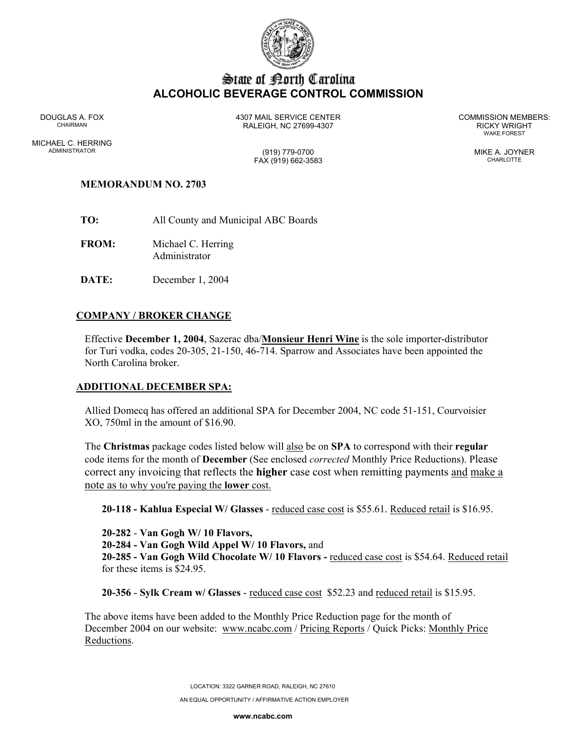

# State of Borth Carolina **ALCOHOLIC BEVERAGE CONTROL COMMISSION**

WAKE FOREST

DOUGLAS A. FOX 4307 MAIL SERVICE CENTER COMMISSION MEMBERS: CHAIRMAN RALEIGH, NC 27699-4307 RICKY WRIGHT

MICHAEL C. HERRING ADMINISTRATOR (919) 779-0700 MIKE A. JOYNER FAX (919) 662-3583 CHARLOTTE

# **MEMORANDUM NO. 2703**

- **TO:** All County and Municipal ABC Boards
- **FROM:** Michael C. Herring Administrator
- **DATE:** December 1, 2004

# **COMPANY / BROKER CHANGE**

Effective **December 1, 2004**, Sazerac dba/**Monsieur Henri Wine** is the sole importer-distributor for Turi vodka, codes 20-305, 21-150, 46-714. Sparrow and Associates have been appointed the North Carolina broker.

#### **ADDITIONAL DECEMBER SPA:**

Allied Domecq has offered an additional SPA for December 2004, NC code 51-151, Courvoisier XO, 750ml in the amount of \$16.90.

The **Christmas** package codes listed below will also be on **SPA** to correspond with their **regular**  code items for the month of **December** (See enclosed *corrected* Monthly Price Reductions). Please correct any invoicing that reflects the **higher** case cost when remitting payments and make a note as to why you're paying the **lower** cost.

**20-118 - Kahlua Especial W/ Glasses** - reduced case cost is \$55.61. Reduced retail is \$16.95.

**20-282** - **Van Gogh W/ 10 Flavors,**

**20-284 - Van Gogh Wild Appel W/ 10 Flavors,** and

**20-285 - Van Gogh Wild Chocolate W/ 10 Flavors -** reduced case cost is \$54.64. Reduced retail for these items is \$24.95.

**20-356** - **Sylk Cream w/ Glasses** - reduced case cost \$52.23 and reduced retail is \$15.95.

The above items have been added to the Monthly Price Reduction page for the month of December 2004 on our website: www.ncabc.com / Pricing Reports / Quick Picks: Monthly Price Reductions.

> LOCATION: 3322 GARNER ROAD, RALEIGH, NC 27610 AN EQUAL OPPORTUNITY / AFFIRMATIVE ACTION EMPLOYER

> > **www.ncabc.com**